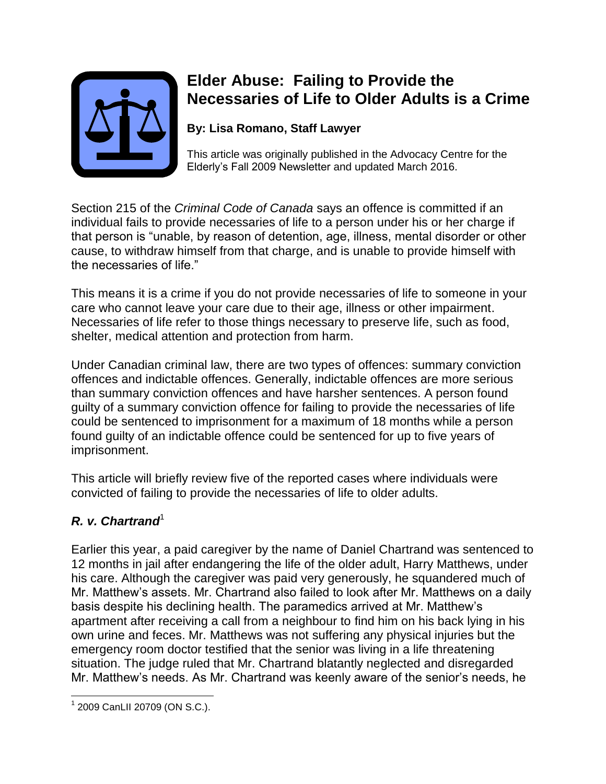

# **Elder Abuse: Failing to Provide the Necessaries of Life to Older Adults is a Crime**

**By: Lisa Romano, Staff Lawyer**

This article was originally published in the Advocacy Centre for the Elderly's Fall 2009 Newsletter and updated March 2016.

Section 215 of the *Criminal Code of Canada* says an offence is committed if an individual fails to provide necessaries of life to a person under his or her charge if that person is "unable, by reason of detention, age, illness, mental disorder or other cause, to withdraw himself from that charge, and is unable to provide himself with the necessaries of life."

This means it is a crime if you do not provide necessaries of life to someone in your care who cannot leave your care due to their age, illness or other impairment. Necessaries of life refer to those things necessary to preserve life, such as food, shelter, medical attention and protection from harm.

Under Canadian criminal law, there are two types of offences: summary conviction offences and indictable offences. Generally, indictable offences are more serious than summary conviction offences and have harsher sentences. A person found guilty of a summary conviction offence for failing to provide the necessaries of life could be sentenced to imprisonment for a maximum of 18 months while a person found guilty of an indictable offence could be sentenced for up to five years of imprisonment.

This article will briefly review five of the reported cases where individuals were convicted of failing to provide the necessaries of life to older adults.

## **R.** v. Chartrand<sup>1</sup>

Earlier this year, a paid caregiver by the name of Daniel Chartrand was sentenced to 12 months in jail after endangering the life of the older adult, Harry Matthews, under his care. Although the caregiver was paid very generously, he squandered much of Mr. Matthew's assets. Mr. Chartrand also failed to look after Mr. Matthews on a daily basis despite his declining health. The paramedics arrived at Mr. Matthew's apartment after receiving a call from a neighbour to find him on his back lying in his own urine and feces. Mr. Matthews was not suffering any physical injuries but the emergency room doctor testified that the senior was living in a life threatening situation. The judge ruled that Mr. Chartrand blatantly neglected and disregarded Mr. Matthew's needs. As Mr. Chartrand was keenly aware of the senior's needs, he

 $\overline{a}$ 1 2009 CanLII 20709 (ON S.C.).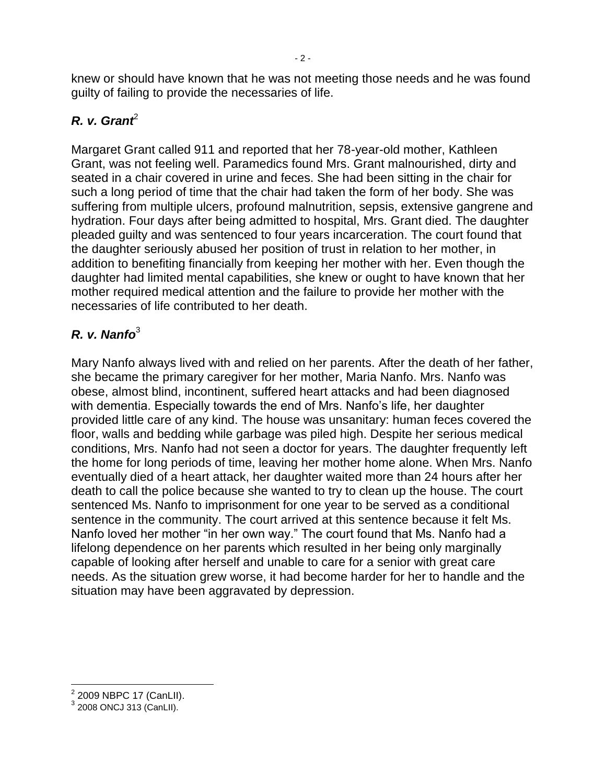knew or should have known that he was not meeting those needs and he was found guilty of failing to provide the necessaries of life.

## $R. v.$  Grant<sup>2</sup>

Margaret Grant called 911 and reported that her 78-year-old mother, Kathleen Grant, was not feeling well. Paramedics found Mrs. Grant malnourished, dirty and seated in a chair covered in urine and feces. She had been sitting in the chair for such a long period of time that the chair had taken the form of her body. She was suffering from multiple ulcers, profound malnutrition, sepsis, extensive gangrene and hydration. Four days after being admitted to hospital, Mrs. Grant died. The daughter pleaded guilty and was sentenced to four years incarceration. The court found that the daughter seriously abused her position of trust in relation to her mother, in addition to benefiting financially from keeping her mother with her. Even though the daughter had limited mental capabilities, she knew or ought to have known that her mother required medical attention and the failure to provide her mother with the necessaries of life contributed to her death.

### *R. v. Nanfo*<sup>3</sup>

Mary Nanfo always lived with and relied on her parents. After the death of her father, she became the primary caregiver for her mother, Maria Nanfo. Mrs. Nanfo was obese, almost blind, incontinent, suffered heart attacks and had been diagnosed with dementia. Especially towards the end of Mrs. Nanfo's life, her daughter provided little care of any kind. The house was unsanitary: human feces covered the floor, walls and bedding while garbage was piled high. Despite her serious medical conditions, Mrs. Nanfo had not seen a doctor for years. The daughter frequently left the home for long periods of time, leaving her mother home alone. When Mrs. Nanfo eventually died of a heart attack, her daughter waited more than 24 hours after her death to call the police because she wanted to try to clean up the house. The court sentenced Ms. Nanfo to imprisonment for one year to be served as a conditional sentence in the community. The court arrived at this sentence because it felt Ms. Nanfo loved her mother "in her own way." The court found that Ms. Nanfo had a lifelong dependence on her parents which resulted in her being only marginally capable of looking after herself and unable to care for a senior with great care needs. As the situation grew worse, it had become harder for her to handle and the situation may have been aggravated by depression.

<sup>&</sup>lt;u>2</u><br>2 2009 NBPC 17 (CanLII).<br><sup>3</sup> 2008 ONCJ 313 (CanLII).